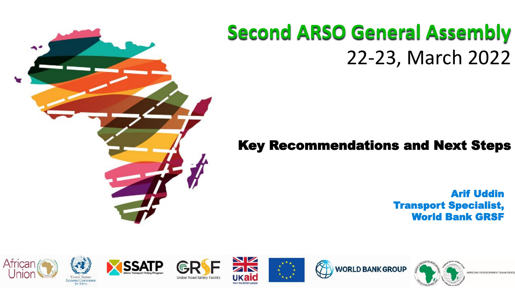### **Second ARSO General Assembly** 22-23, March 2022

### Key Recommendations and Next Steps

Arif Uddin Transport Specialist, World Bank GRSF





fine Arries











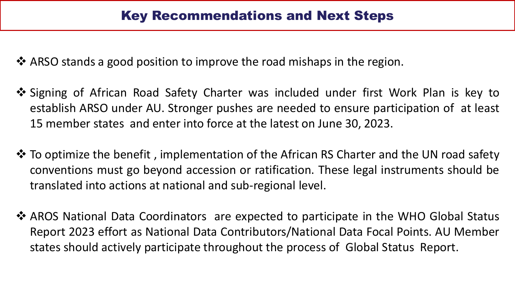❖ ARSO stands a good position to improve the road mishaps in the region.

- ❖ Signing of African Road Safety Charter was included under first Work Plan is key to establish ARSO under AU. Stronger pushes are needed to ensure participation of at least 15 member states and enter into force at the latest on June 30, 2023.
- ❖ To optimize the benefit , implementation of the African RS Charter and the UN road safety conventions must go beyond accession or ratification. These legal instruments should be translated into actions at national and sub-regional level.
- ❖ AROS National Data Coordinators are expected to participate in the WHO Global Status Report 2023 effort as National Data Contributors/National Data Focal Points. AU Member states should actively participate throughout the process of Global Status Report.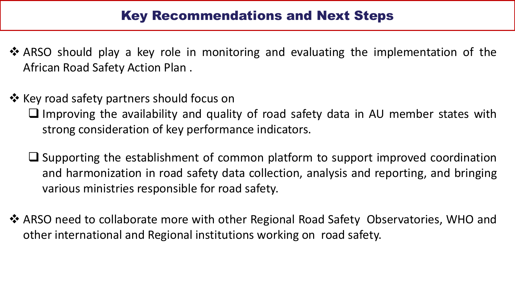#### Key Recommendations and Next Steps

- ❖ ARSO should play a key role in monitoring and evaluating the implementation of the African Road Safety Action Plan .
- ❖ Key road safety partners should focus on
	- ❑ Improving the availability and quality of road safety data in AU member states with strong consideration of key performance indicators.
	- ❑ Supporting the establishment of common platform to support improved coordination and harmonization in road safety data collection, analysis and reporting, and bringing various ministries responsible for road safety.
- ❖ ARSO need to collaborate more with other Regional Road Safety Observatories, WHO and other international and Regional institutions working on road safety.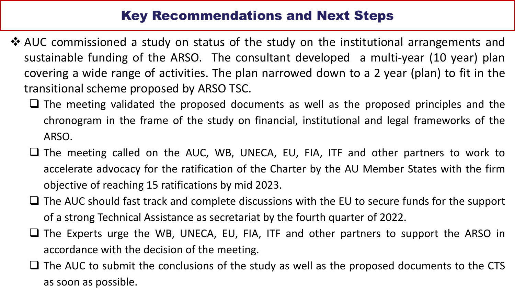### Key Recommendations and Next Steps

- ❖ AUC commissioned a study on status of the study on the institutional arrangements and sustainable funding of the ARSO. The consultant developed a multi-year (10 year) plan covering a wide range of activities. The plan narrowed down to a 2 year (plan) to fit in the transitional scheme proposed by ARSO TSC.
	- ❑ The meeting validated the proposed documents as well as the proposed principles and the chronogram in the frame of the study on financial, institutional and legal frameworks of the ARSO.
	- ❑ The meeting called on the AUC, WB, UNECA, EU, FIA, ITF and other partners to work to accelerate advocacy for the ratification of the Charter by the AU Member States with the firm objective of reaching 15 ratifications by mid 2023.
	- The AUC should fast track and complete discussions with the EU to secure funds for the support of a strong Technical Assistance as secretariat by the fourth quarter of 2022.
	- ❑ The Experts urge the WB, UNECA, EU, FIA, ITF and other partners to support the ARSO in accordance with the decision of the meeting.
	- □ The AUC to submit the conclusions of the study as well as the proposed documents to the CTS as soon as possible.